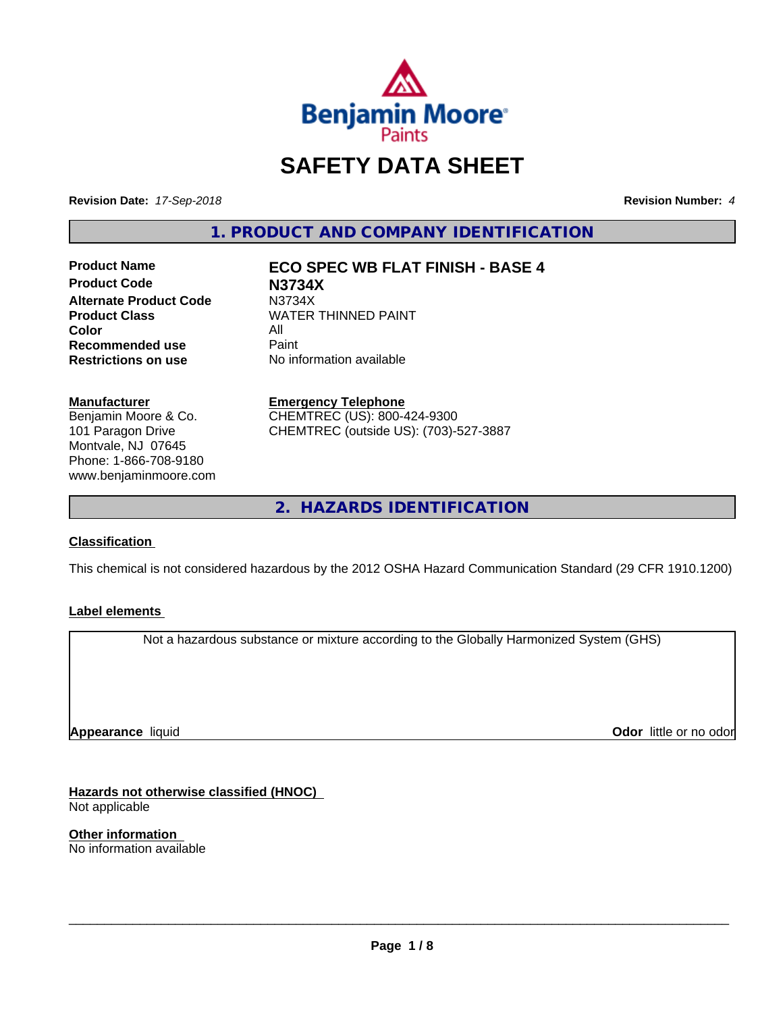

# **SAFETY DATA SHEET**

**Revision Date:** *17-Sep-2018* **Revision Number:** *4*

**1. PRODUCT AND COMPANY IDENTIFICATION**

**Product Name ECO SPEC WB FLAT FINISH - BASE 4 Product Code N3734X Alternate Product Code M3734X**<br>Product Class WATER **Color** All<br> **Recommended use** Paint **Recommended use**<br>Restrictions on use

**WATER THINNED PAINT** 

**No information available** 

# **Manufacturer**

Benjamin Moore & Co. 101 Paragon Drive Montvale, NJ 07645 Phone: 1-866-708-9180 www.benjaminmoore.com

#### **Emergency Telephone**

CHEMTREC (US): 800-424-9300 CHEMTREC (outside US): (703)-527-3887

**2. HAZARDS IDENTIFICATION**

#### **Classification**

This chemical is not considered hazardous by the 2012 OSHA Hazard Communication Standard (29 CFR 1910.1200)

#### **Label elements**

Not a hazardous substance or mixture according to the Globally Harmonized System (GHS)

**Appearance** liquid

**Odor** little or no odor

**Hazards not otherwise classified (HNOC)** Not applicable

**Other information** No information available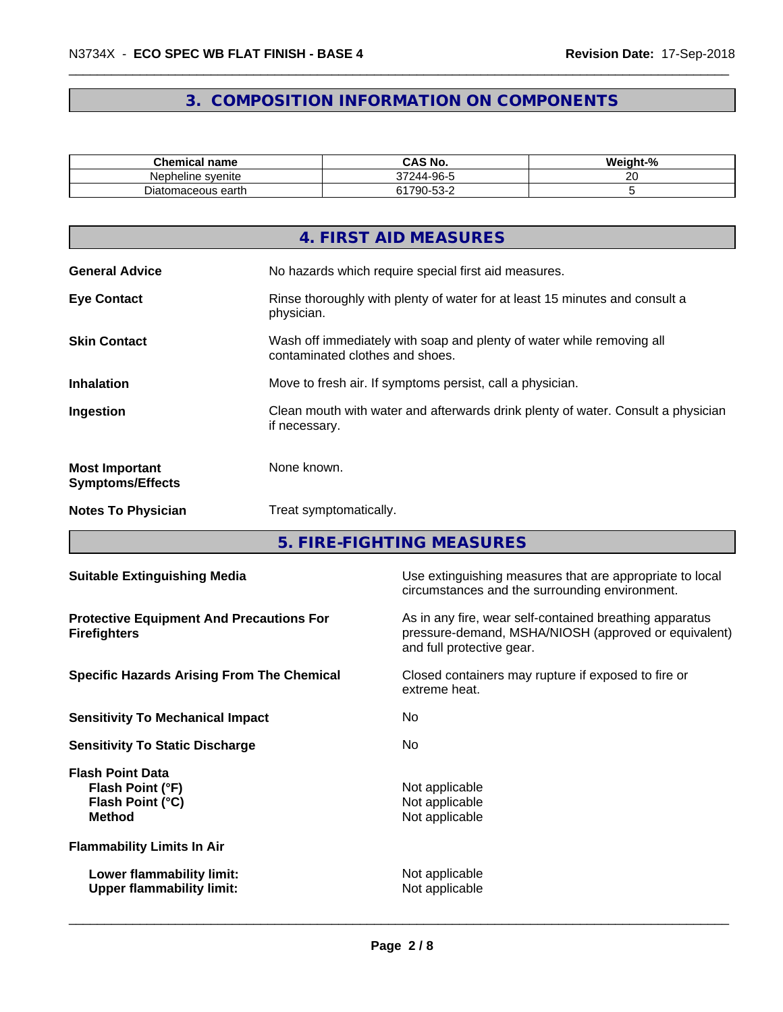# **3. COMPOSITION INFORMATION ON COMPONENTS**

| <b>Chemical name</b>    | CAS No.<br>∽^                         | <br>$\overline{\phantom{a}}$<br>Weight-% |
|-------------------------|---------------------------------------|------------------------------------------|
| Nepheline svenite       | 244-96-5<br>---                       | ~                                        |
| -<br>Diatomaceous earth | $\sim$<br>1700<br>$-25 -$<br>ັບບ<br>w |                                          |

|                                                  | 4. FIRST AID MEASURES                                                                                    |
|--------------------------------------------------|----------------------------------------------------------------------------------------------------------|
| <b>General Advice</b>                            | No hazards which require special first aid measures.                                                     |
| <b>Eye Contact</b>                               | Rinse thoroughly with plenty of water for at least 15 minutes and consult a<br>physician.                |
| <b>Skin Contact</b>                              | Wash off immediately with soap and plenty of water while removing all<br>contaminated clothes and shoes. |
| <b>Inhalation</b>                                | Move to fresh air. If symptoms persist, call a physician.                                                |
| Ingestion                                        | Clean mouth with water and afterwards drink plenty of water. Consult a physician<br>if necessary.        |
| <b>Most Important</b><br><b>Symptoms/Effects</b> | None known.                                                                                              |
| <b>Notes To Physician</b>                        | Treat symptomatically.                                                                                   |

**5. FIRE-FIGHTING MEASURES**

| <b>Suitable Extinguishing Media</b>                                              | Use extinguishing measures that are appropriate to local<br>circumstances and the surrounding environment.                                   |
|----------------------------------------------------------------------------------|----------------------------------------------------------------------------------------------------------------------------------------------|
| <b>Protective Equipment And Precautions For</b><br><b>Firefighters</b>           | As in any fire, wear self-contained breathing apparatus<br>pressure-demand, MSHA/NIOSH (approved or equivalent)<br>and full protective gear. |
| <b>Specific Hazards Arising From The Chemical</b>                                | Closed containers may rupture if exposed to fire or<br>extreme heat.                                                                         |
| <b>Sensitivity To Mechanical Impact</b>                                          | No.                                                                                                                                          |
| <b>Sensitivity To Static Discharge</b>                                           | No.                                                                                                                                          |
| <b>Flash Point Data</b><br>Flash Point (°F)<br>Flash Point (°C)<br><b>Method</b> | Not applicable<br>Not applicable<br>Not applicable                                                                                           |
| <b>Flammability Limits In Air</b>                                                |                                                                                                                                              |
| Lower flammability limit:<br><b>Upper flammability limit:</b>                    | Not applicable<br>Not applicable                                                                                                             |
|                                                                                  |                                                                                                                                              |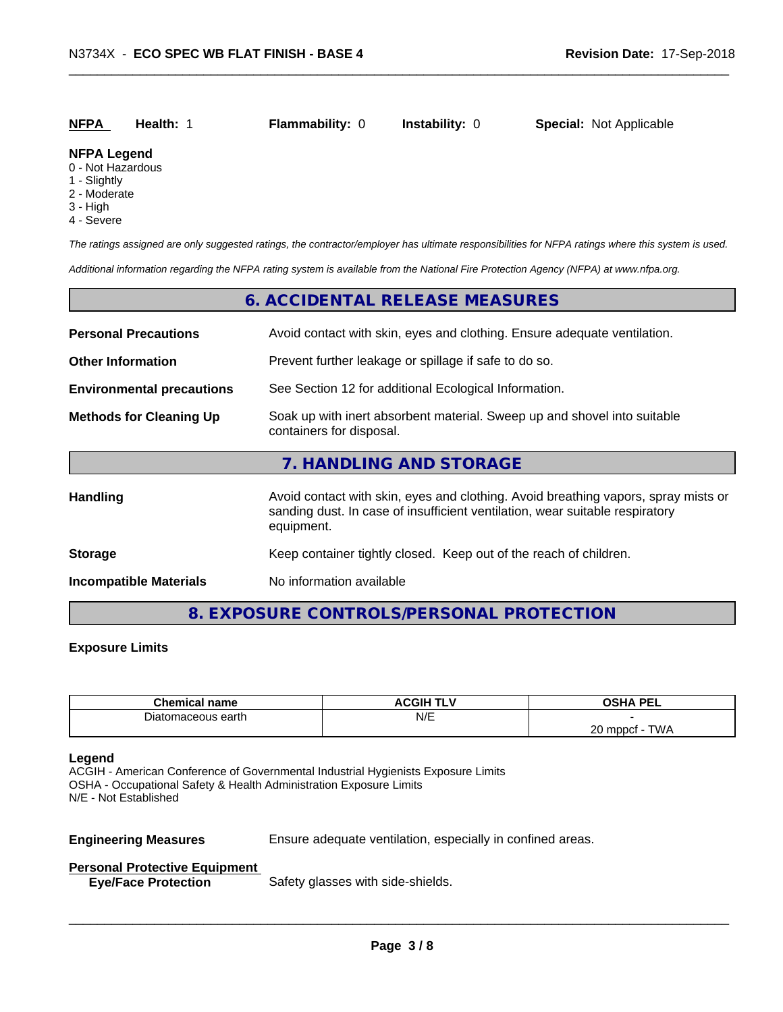| <b>NFPA</b><br><b>Instability: 0</b><br><b>Special: Not Applicable</b><br><b>Flammability: 0</b><br>Health: 1 |
|---------------------------------------------------------------------------------------------------------------|
|---------------------------------------------------------------------------------------------------------------|

#### **NFPA Legend**

- 0 Not Hazardous
- 1 Slightly
- 2 Moderate
- 3 High
- 4 Severe

*The ratings assigned are only suggested ratings, the contractor/employer has ultimate responsibilities for NFPA ratings where this system is used.*

*Additional information regarding the NFPA rating system is available from the National Fire Protection Agency (NFPA) at www.nfpa.org.*

#### **6. ACCIDENTAL RELEASE MEASURES**

| <b>Personal Precautions</b>                                                                                                            | Avoid contact with skin, eyes and clothing. Ensure adequate ventilation.                                                                                                         |  |
|----------------------------------------------------------------------------------------------------------------------------------------|----------------------------------------------------------------------------------------------------------------------------------------------------------------------------------|--|
| <b>Other Information</b>                                                                                                               | Prevent further leakage or spillage if safe to do so.                                                                                                                            |  |
| <b>Environmental precautions</b>                                                                                                       | See Section 12 for additional Ecological Information.                                                                                                                            |  |
| Soak up with inert absorbent material. Sweep up and shovel into suitable<br><b>Methods for Cleaning Up</b><br>containers for disposal. |                                                                                                                                                                                  |  |
|                                                                                                                                        | 7. HANDLING AND STORAGE                                                                                                                                                          |  |
| Handling                                                                                                                               | Avoid contact with skin, eyes and clothing. Avoid breathing vapors, spray mists or<br>sanding dust. In case of insufficient ventilation, wear suitable respiratory<br>equipment. |  |
| <b>Storage</b>                                                                                                                         | Keep container tightly closed. Keep out of the reach of children.                                                                                                                |  |
| <b>Incompatible Materials</b>                                                                                                          | No information available                                                                                                                                                         |  |

# **8. EXPOSURE CONTROLS/PERSONAL PROTECTION**

#### **Exposure Limits**

| <b>Chemical name</b>   | <b>ACGIH TLV</b> | <b>OSHA PFI</b><br>730A<br>--                |
|------------------------|------------------|----------------------------------------------|
| maceous earth<br>שatom | N/E              |                                              |
|                        |                  | ററ<br>TWA<br>) mppcf<br>ZΨ<br>. <b>. .</b> . |

#### **Legend**

ACGIH - American Conference of Governmental Industrial Hygienists Exposure Limits OSHA - Occupational Safety & Health Administration Exposure Limits N/E - Not Established

**Engineering Measures** Ensure adequate ventilation, especially in confined areas.

 $\overline{\phantom{a}}$  ,  $\overline{\phantom{a}}$  ,  $\overline{\phantom{a}}$  ,  $\overline{\phantom{a}}$  ,  $\overline{\phantom{a}}$  ,  $\overline{\phantom{a}}$  ,  $\overline{\phantom{a}}$  ,  $\overline{\phantom{a}}$  ,  $\overline{\phantom{a}}$  ,  $\overline{\phantom{a}}$  ,  $\overline{\phantom{a}}$  ,  $\overline{\phantom{a}}$  ,  $\overline{\phantom{a}}$  ,  $\overline{\phantom{a}}$  ,  $\overline{\phantom{a}}$  ,  $\overline{\phantom{a}}$ 

# **Personal Protective Equipment**

**Eye/Face Protection** Safety glasses with side-shields.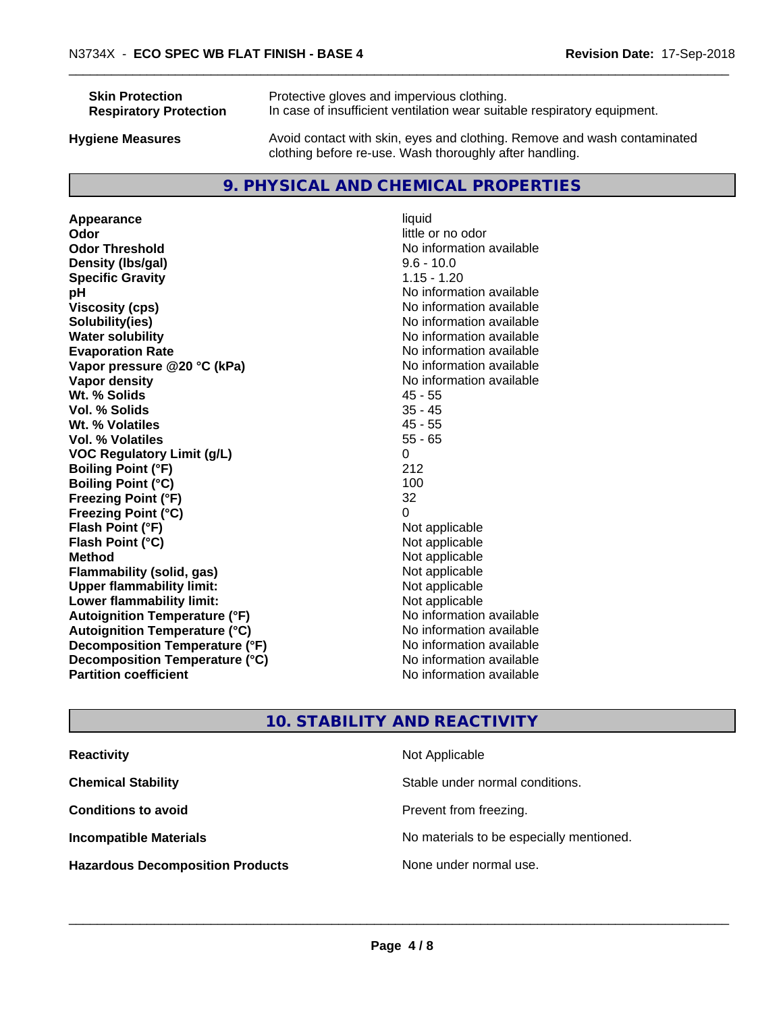| <b>Skin Protection</b>        | Protective gloves and impervious clothing.                                                                                          |
|-------------------------------|-------------------------------------------------------------------------------------------------------------------------------------|
| <b>Respiratory Protection</b> | In case of insufficient ventilation wear suitable respiratory equipment.                                                            |
| <b>Hygiene Measures</b>       | Avoid contact with skin, eyes and clothing. Remove and wash contaminated<br>clothing before re-use. Wash thoroughly after handling. |

# **9. PHYSICAL AND CHEMICAL PROPERTIES**

**Appearance** liquid **odor** liquid **odor** little c **Odor Odor** little or no odor<br> **Odor Threshold Containery of the Containery of the Containery of the Containery of the Containery of the Containery of the Containery of the Containery of the Containery of the Container Density (lbs/gal)** 9.6 - 10.0 **Specific Gravity** 1.15 - 1.20 **pH** No information available **Viscosity (cps)** No information available **Solubility(ies)**<br> **Solubility**<br> **Water solubility**<br> **Water solubility Evaporation Rate No information available No information available Vapor pressure @20 °C (kPa)** No information available **Vapor density No information available No** information available **Wt. % Solids** 45 - 55 **Vol. % Solids** 35 - 45 **Wt. % Volatiles Vol. % Volatiles** 55 - 65 **VOC Regulatory Limit (g/L)** 0 **Boiling Point (°F)** 212 **Boiling Point (°C)** 100 **Freezing Point (°F)** 32 **Freezing Point (°C)**<br> **Flash Point (°F)**<br> **Flash Point (°F)**<br> **Point (°F) Flash Point (°F)**<br> **Flash Point (°C)**<br> **Flash Point (°C)**<br> **C Flash Point (°C) Method** Not applicable **Flammability (solid, gas)** Not applicable Not applicable<br>
Upper flammability limit:<br>
Upper flammability limit: **Upper flammability limit: Lower flammability limit:**<br> **Autoignition Temperature (°F)** Not applicable havailable available **Autoignition Temperature (°F) Autoignition Temperature (°C)** No information available **Decomposition Temperature (°F)** No information available **Decomposition Temperature (°C)** No information available **Partition coefficient Contract Community No information available** 

**No information available No information available** 

# **10. STABILITY AND REACTIVITY**

| <b>Reactivity</b>                       | Not Applicable                           |
|-----------------------------------------|------------------------------------------|
| <b>Chemical Stability</b>               | Stable under normal conditions.          |
| <b>Conditions to avoid</b>              | Prevent from freezing.                   |
| <b>Incompatible Materials</b>           | No materials to be especially mentioned. |
| <b>Hazardous Decomposition Products</b> | None under normal use.                   |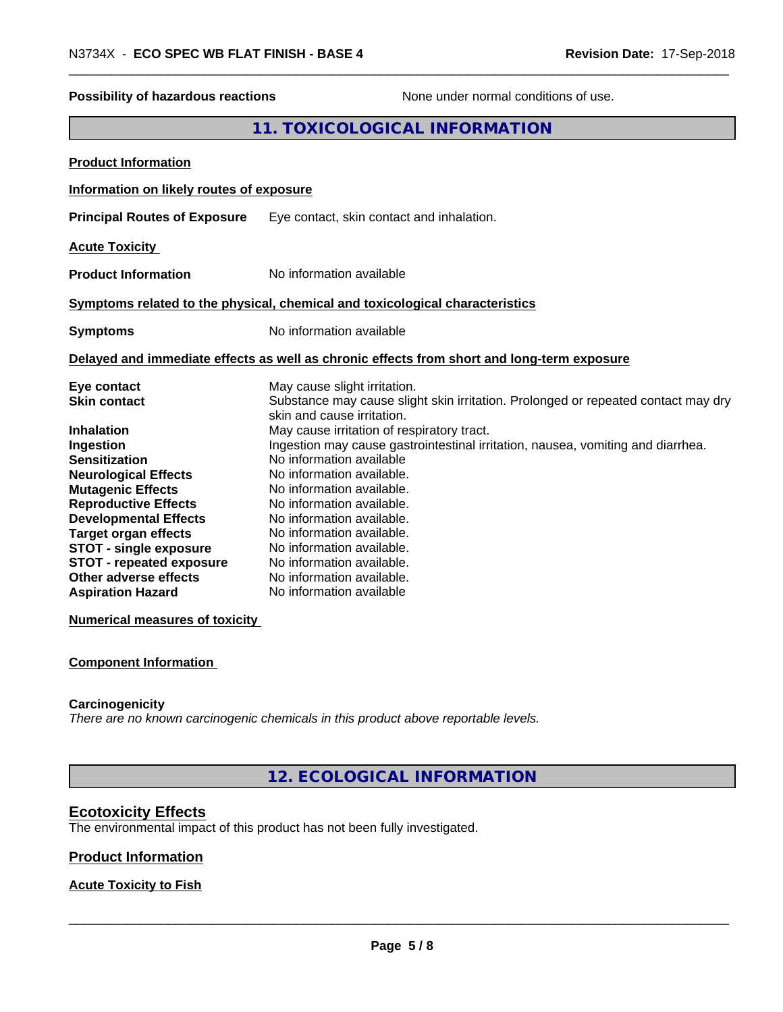**Numerical measures of toxicity**

#### **Component Information**

#### **Carcinogenicity**

*There are no known carcinogenic chemicals in this product above reportable levels.*

**12. ECOLOGICAL INFORMATION**

#### **Ecotoxicity Effects**

The environmental impact of this product has not been fully investigated.

#### **Product Information**

#### **Acute Toxicity to Fish**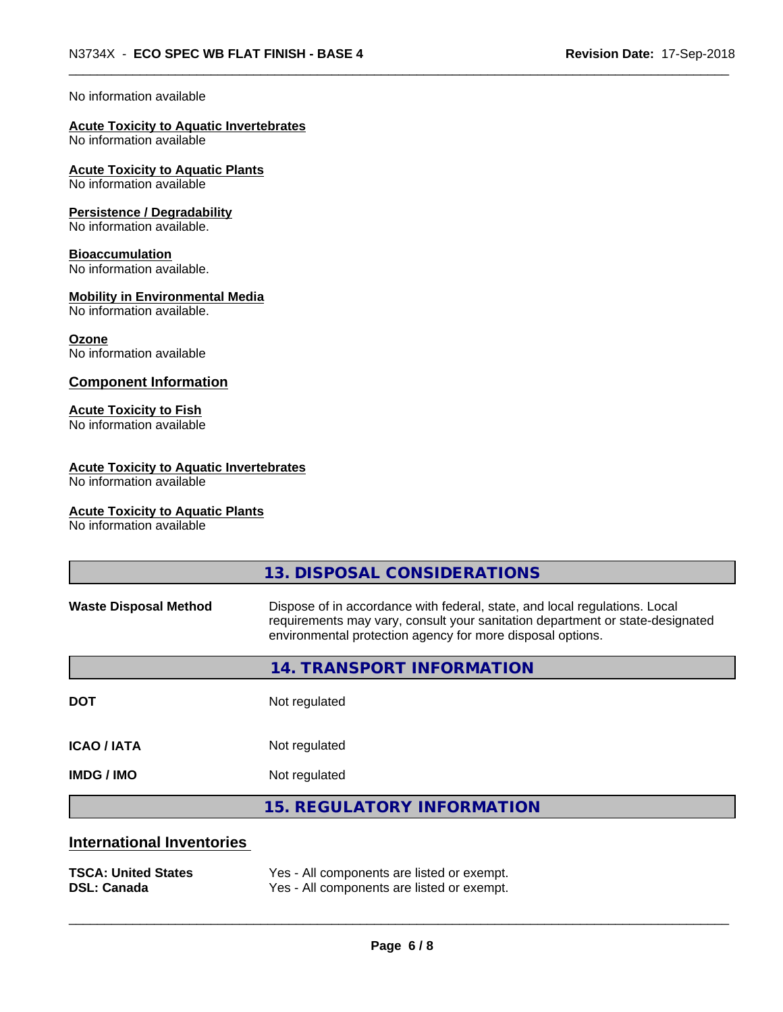#### No information available

#### **Acute Toxicity to Aquatic Invertebrates**

No information available

#### **Acute Toxicity to Aquatic Plants**

No information available

#### **Persistence / Degradability**

No information available.

#### **Bioaccumulation**

No information available.

#### **Mobility in Environmental Media**

No information available.

#### **Ozone**

No information available

#### **Component Information**

#### **Acute Toxicity to Fish**

No information available

#### **Acute Toxicity to Aquatic Invertebrates**

No information available

#### **Acute Toxicity to Aquatic Plants**

No information available

|                                  | 13. DISPOSAL CONSIDERATIONS                                                                                                                                                                                               |  |
|----------------------------------|---------------------------------------------------------------------------------------------------------------------------------------------------------------------------------------------------------------------------|--|
| <b>Waste Disposal Method</b>     | Dispose of in accordance with federal, state, and local regulations. Local<br>requirements may vary, consult your sanitation department or state-designated<br>environmental protection agency for more disposal options. |  |
|                                  | 14. TRANSPORT INFORMATION                                                                                                                                                                                                 |  |
| <b>DOT</b>                       | Not regulated                                                                                                                                                                                                             |  |
| <b>ICAO/IATA</b>                 | Not regulated                                                                                                                                                                                                             |  |
| <b>IMDG / IMO</b>                | Not regulated                                                                                                                                                                                                             |  |
|                                  | <b>15. REGULATORY INFORMATION</b>                                                                                                                                                                                         |  |
| <b>International Inventories</b> |                                                                                                                                                                                                                           |  |
| <b>TSCA: United States</b>       | Yes - All components are listed or exempt.                                                                                                                                                                                |  |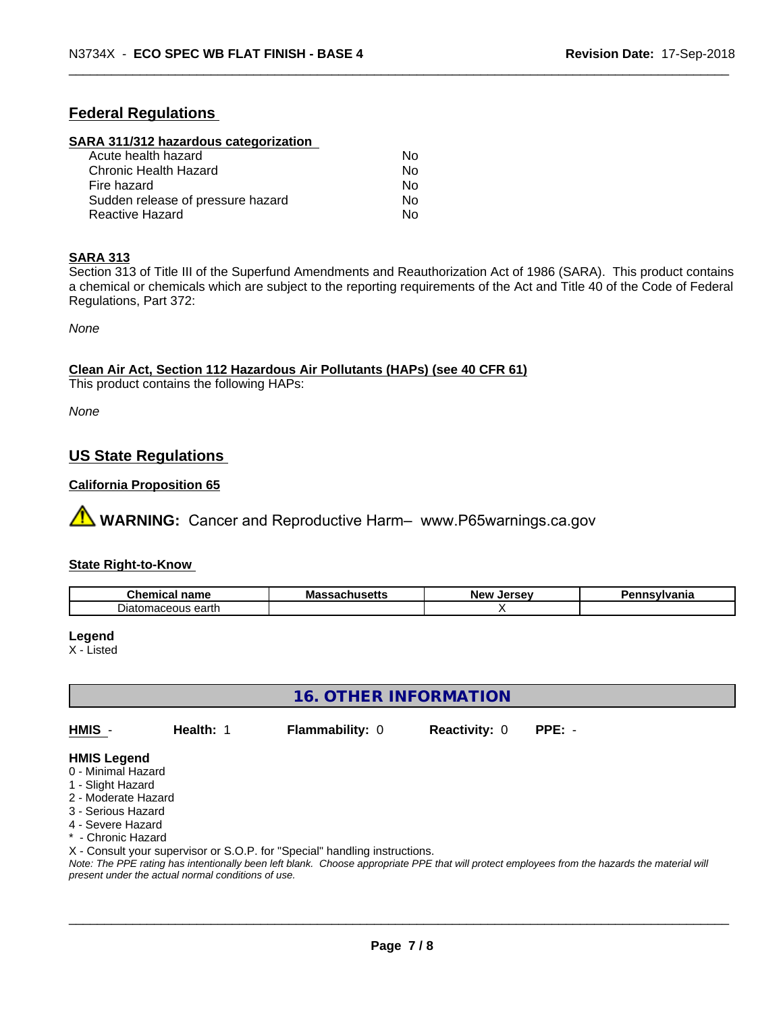# **Federal Regulations**

#### **SARA 311/312 hazardous categorization**

| Acute health hazard               | No. |  |
|-----------------------------------|-----|--|
| Chronic Health Hazard             | Nο  |  |
| Fire hazard                       | N٥  |  |
| Sudden release of pressure hazard | Nο  |  |
| Reactive Hazard                   | Nο  |  |

#### **SARA 313**

Section 313 of Title III of the Superfund Amendments and Reauthorization Act of 1986 (SARA). This product contains a chemical or chemicals which are subject to the reporting requirements of the Act and Title 40 of the Code of Federal Regulations, Part 372:

*None*

**Clean Air Act,Section 112 Hazardous Air Pollutants (HAPs) (see 40 CFR 61)**

This product contains the following HAPs:

*None*

# **US State Regulations**

### **California Proposition 65**

**AVIMARNING:** Cancer and Reproductive Harm– www.P65warnings.ca.gov

#### **State Right-to-Know**

| Chemic<br>----<br>. папе<br>$\sim$    | Ma<br>טוסטו<br>. | . הי<br>ימוח<br>.Je<br>-35 | vlvania |
|---------------------------------------|------------------|----------------------------|---------|
| , eartr<br>глатог<br>मता उत्त<br>UU5. |                  |                            |         |

#### **Legend**

X - Listed

**16. OTHER INFORMATION**

**HMIS** - **Health:** 1 **Flammability:** 0 **Reactivity:** 0 **PPE:** -

# **HMIS Legend**

- 0 Minimal Hazard
- 1 Slight Hazard
- 2 Moderate Hazard
- 3 Serious Hazard
- 4 Severe Hazard
- Chronic Hazard

X - Consult your supervisor or S.O.P. for "Special" handling instructions.

*Note: The PPE rating has intentionally been left blank. Choose appropriate PPE that will protect employees from the hazards the material will present under the actual normal conditions of use.*